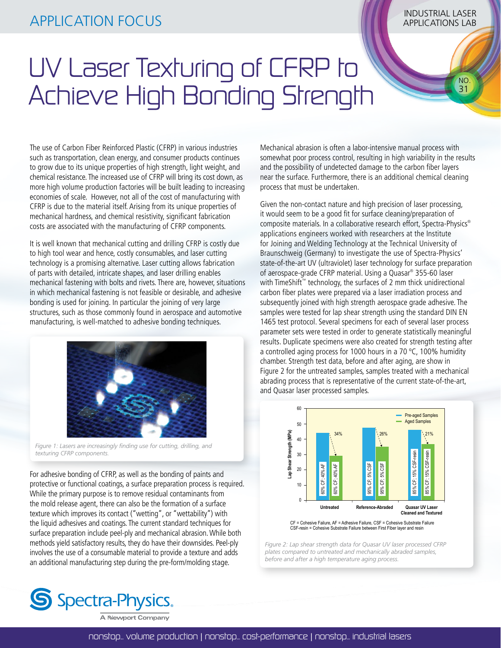## INDUSTRIAL LASER APPLICATION FOCUS APPLICATIONS LAB

 NO. 31

# UV Laser Texturing of CFRP to Achieve High Bonding Strength

The use of Carbon Fiber Reinforced Plastic (CFRP) in various industries such as transportation, clean energy, and consumer products continues to grow due to its unique properties of high strength, light weight, and chemical resistance. The increased use of CFRP will bring its cost down, as more high volume production factories will be built leading to increasing economies of scale. However, not all of the cost of manufacturing with CFRP is due to the material itself. Arising from its unique properties of mechanical hardness, and chemical resistivity, significant fabrication costs are associated with the manufacturing of CFRP components.

It is well known that mechanical cutting and drilling CFRP is costly due to high tool wear and hence, costly consumables, and laser cutting technology is a promising alternative. Laser cutting allows fabrication of parts with detailed, intricate shapes, and laser drilling enables mechanical fastening with bolts and rivets. There are, however, situations in which mechanical fastening is not feasible or desirable, and adhesive bonding is used for joining. In particular the joining of very large structures, such as those commonly found in aerospace and automotive manufacturing, is well-matched to adhesive bonding techniques.



*Figure 1: Lasers are increasingly finding use for cutting, drilling, and texturing CFRP components.*

For adhesive bonding of CFRP, as well as the bonding of paints and protective or functional coatings, a surface preparation process is required. While the primary purpose is to remove residual contaminants from the mold release agent, there can also be the formation of a surface texture which improves its contact ("wetting", or "wettability") with the liquid adhesives and coatings. The current standard techniques for surface preparation include peel-ply and mechanical abrasion. While both methods yield satisfactory results, they do have their downsides. Peel-ply involves the use of a consumable material to provide a texture and adds an additional manufacturing step during the pre-form/molding stage.

Mechanical abrasion is often a labor-intensive manual process with somewhat poor process control, resulting in high variability in the results and the possibility of undetected damage to the carbon fiber layers near the surface. Furthermore, there is an additional chemical cleaning process that must be undertaken.

Given the non-contact nature and high precision of laser processing, it would seem to be a good fit for surface cleaning/preparation of composite materials. In a collaborative research effort, Spectra-Physics® applications engineers worked with researchers at the Institute for Joining and Welding Technology at the Technical University of Braunschweig (Germany) to investigate the use of Spectra-Physics' state-of-the-art UV (ultraviolet) laser technology for surface preparation of aerospace-grade CFRP material. Using a Quasar® 355-60 laser with TimeShift<sup>™</sup> technology, the surfaces of 2 mm thick unidirectional carbon fiber plates were prepared via a laser irradiation process and subsequently joined with high strength aerospace grade adhesive. The samples were tested for lap shear strength using the standard DIN EN 1465 test protocol. Several specimens for each of several laser process parameter sets were tested in order to generate statistically meaningful results. Duplicate specimens were also created for strength testing after a controlled aging process for 1000 hours in a 70 ºC, 100% humidity chamber. Strength test data, before and after aging, are show in Figure 2 for the untreated samples, samples treated with a mechanical abrading process that is representative of the current state-of-the-art, and Quasar laser processed samples.



CF = Cohesive Failure, AF = Adhesive Failure, CSF = Cohesive Substrate Failure CSF-resin = Cohesive Substrate Failure between First Fiber layer and resin

*Figure 2: Lap shear strength data for Quasar UV laser processed CFRP plates compared to untreated and mechanically abraded samples, before and after a high temperature aging process.*



A Newport Company